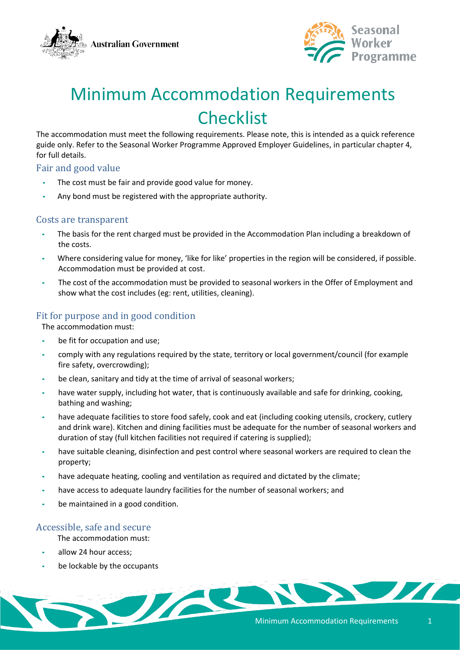



# Minimum Accommodation Requirements **Checklist**

The accommodation must meet the following requirements. Please note, this is intended as a quick reference guide only. Refer to the Seasonal Worker Programme Approved Employer Guidelines, in particular chapter 4, for full details.

## Fair and good value

- The cost must be fair and provide good value for money.
- Any bond must be registered with the appropriate authority.

#### Costs are transparent

- The basis for the rent charged must be provided in the Accommodation Plan including a breakdown of the costs.
- Where considering value for money, 'like for like' properties in the region will be considered, if possible. Accommodation must be provided at cost.
- The cost of the accommodation must be provided to seasonal workers in the Offer of Employment and show what the cost includes (eg: rent, utilities, cleaning).

## Fit for purpose and in good condition

The accommodation must:

- be fit for occupation and use;
- comply with any regulations required by the state, territory or local government/council (for example fire safety, overcrowding);
- be clean, sanitary and tidy at the time of arrival of seasonal workers;
- have water supply, including hot water, that is continuously available and safe for drinking, cooking, bathing and washing;
- have adequate facilities to store food safely, cook and eat (including cooking utensils, crockery, cutlery and drink ware). Kitchen and dining facilities must be adequate for the number of seasonal workers and duration of stay (full kitchen facilities not required if catering is supplied);
- have suitable cleaning, disinfection and pest control where seasonal workers are required to clean the property;
- have adequate heating, cooling and ventilation as required and dictated by the climate;
- have access to adequate laundry facilities for the number of seasonal workers; and
- be maintained in a good condition.

## Accessible, safe and secure

The accommodation must:

- allow 24 hour access;
- be lockable by the occupants